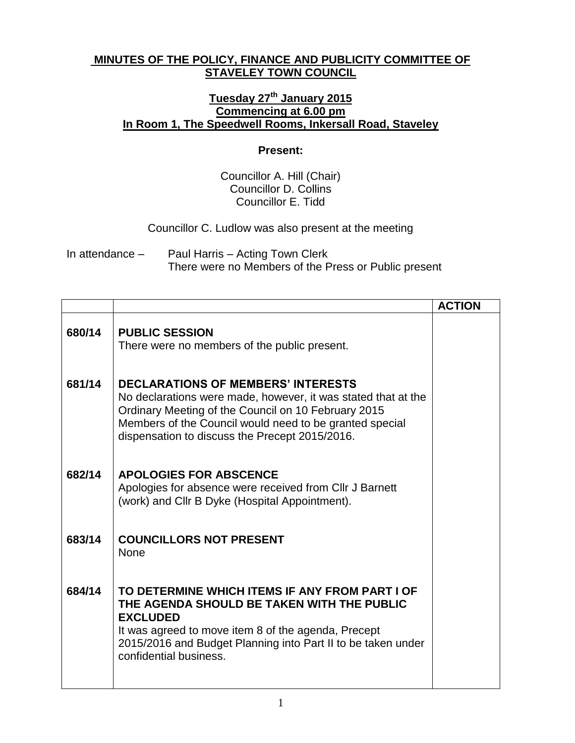## **MINUTES OF THE POLICY, FINANCE AND PUBLICITY COMMITTEE OF STAVELEY TOWN COUNCIL**

## **Tuesday 27th January 2015 Commencing at 6.00 pm In Room 1, The Speedwell Rooms, Inkersall Road, Staveley**

## **Present:**

Councillor A. Hill (Chair) Councillor D. Collins Councillor E. Tidd

Councillor C. Ludlow was also present at the meeting

In attendance – Paul Harris – Acting Town Clerk There were no Members of the Press or Public present

|        |                                                                                                                                                                                                                                                                                | <b>ACTION</b> |
|--------|--------------------------------------------------------------------------------------------------------------------------------------------------------------------------------------------------------------------------------------------------------------------------------|---------------|
| 680/14 | <b>PUBLIC SESSION</b><br>There were no members of the public present.                                                                                                                                                                                                          |               |
| 681/14 | <b>DECLARATIONS OF MEMBERS' INTERESTS</b><br>No declarations were made, however, it was stated that at the<br>Ordinary Meeting of the Council on 10 February 2015<br>Members of the Council would need to be granted special<br>dispensation to discuss the Precept 2015/2016. |               |
| 682/14 | <b>APOLOGIES FOR ABSCENCE</b><br>Apologies for absence were received from CIIr J Barnett<br>(work) and Cllr B Dyke (Hospital Appointment).                                                                                                                                     |               |
| 683/14 | <b>COUNCILLORS NOT PRESENT</b><br><b>None</b>                                                                                                                                                                                                                                  |               |
| 684/14 | TO DETERMINE WHICH ITEMS IF ANY FROM PART I OF<br>THE AGENDA SHOULD BE TAKEN WITH THE PUBLIC<br><b>EXCLUDED</b><br>It was agreed to move item 8 of the agenda, Precept<br>2015/2016 and Budget Planning into Part II to be taken under<br>confidential business.               |               |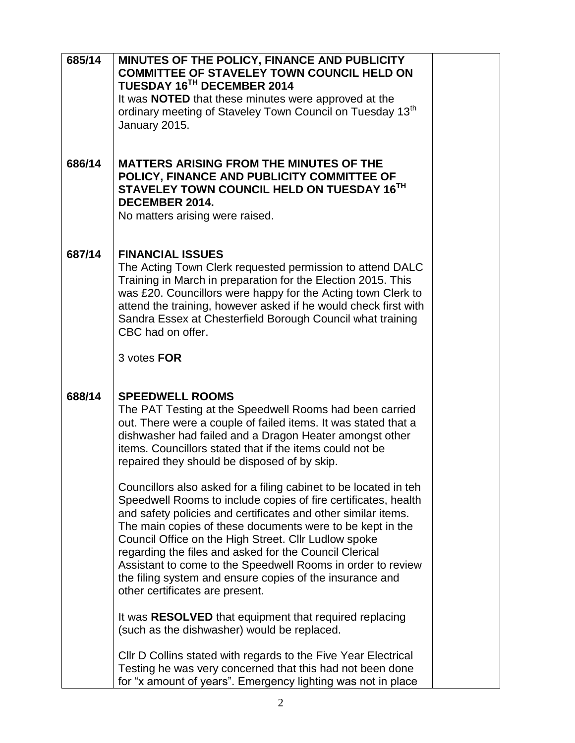| 685/14 | MINUTES OF THE POLICY, FINANCE AND PUBLICITY                                                                                                                                                                                                                                                                                                                                                                                                                                                                                                     |  |
|--------|--------------------------------------------------------------------------------------------------------------------------------------------------------------------------------------------------------------------------------------------------------------------------------------------------------------------------------------------------------------------------------------------------------------------------------------------------------------------------------------------------------------------------------------------------|--|
|        | <b>COMMITTEE OF STAVELEY TOWN COUNCIL HELD ON</b><br>TUESDAY 16TH DECEMBER 2014                                                                                                                                                                                                                                                                                                                                                                                                                                                                  |  |
|        | It was <b>NOTED</b> that these minutes were approved at the                                                                                                                                                                                                                                                                                                                                                                                                                                                                                      |  |
|        | ordinary meeting of Staveley Town Council on Tuesday 13 <sup>th</sup><br>January 2015.                                                                                                                                                                                                                                                                                                                                                                                                                                                           |  |
|        |                                                                                                                                                                                                                                                                                                                                                                                                                                                                                                                                                  |  |
| 686/14 | <b>MATTERS ARISING FROM THE MINUTES OF THE</b><br>POLICY, FINANCE AND PUBLICITY COMMITTEE OF<br>STAVELEY TOWN COUNCIL HELD ON TUESDAY 16TH<br><b>DECEMBER 2014.</b><br>No matters arising were raised.                                                                                                                                                                                                                                                                                                                                           |  |
| 687/14 |                                                                                                                                                                                                                                                                                                                                                                                                                                                                                                                                                  |  |
|        | <b>FINANCIAL ISSUES</b><br>The Acting Town Clerk requested permission to attend DALC<br>Training in March in preparation for the Election 2015. This<br>was £20. Councillors were happy for the Acting town Clerk to<br>attend the training, however asked if he would check first with<br>Sandra Essex at Chesterfield Borough Council what training<br>CBC had on offer.                                                                                                                                                                       |  |
|        | 3 votes FOR                                                                                                                                                                                                                                                                                                                                                                                                                                                                                                                                      |  |
|        |                                                                                                                                                                                                                                                                                                                                                                                                                                                                                                                                                  |  |
| 688/14 | <b>SPEEDWELL ROOMS</b><br>The PAT Testing at the Speedwell Rooms had been carried<br>out. There were a couple of failed items. It was stated that a<br>dishwasher had failed and a Dragon Heater amongst other<br>items. Councillors stated that if the items could not be<br>repaired they should be disposed of by skip.                                                                                                                                                                                                                       |  |
|        | Councillors also asked for a filing cabinet to be located in teh<br>Speedwell Rooms to include copies of fire certificates, health<br>and safety policies and certificates and other similar items.<br>The main copies of these documents were to be kept in the<br>Council Office on the High Street. Cllr Ludlow spoke<br>regarding the files and asked for the Council Clerical<br>Assistant to come to the Speedwell Rooms in order to review<br>the filing system and ensure copies of the insurance and<br>other certificates are present. |  |
|        | It was RESOLVED that equipment that required replacing<br>(such as the dishwasher) would be replaced.                                                                                                                                                                                                                                                                                                                                                                                                                                            |  |
|        | CIIr D Collins stated with regards to the Five Year Electrical<br>Testing he was very concerned that this had not been done<br>for "x amount of years". Emergency lighting was not in place                                                                                                                                                                                                                                                                                                                                                      |  |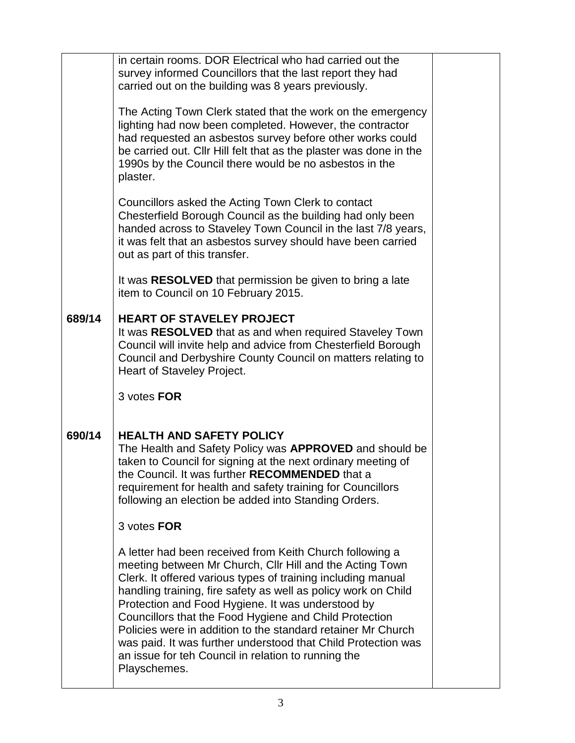|        | in certain rooms. DOR Electrical who had carried out the<br>survey informed Councillors that the last report they had<br>carried out on the building was 8 years previously.                                                                                                                                                                                                                                                                                                                                                                                                  |  |
|--------|-------------------------------------------------------------------------------------------------------------------------------------------------------------------------------------------------------------------------------------------------------------------------------------------------------------------------------------------------------------------------------------------------------------------------------------------------------------------------------------------------------------------------------------------------------------------------------|--|
|        | The Acting Town Clerk stated that the work on the emergency<br>lighting had now been completed. However, the contractor<br>had requested an asbestos survey before other works could<br>be carried out. Cllr Hill felt that as the plaster was done in the<br>1990s by the Council there would be no asbestos in the<br>plaster.                                                                                                                                                                                                                                              |  |
|        | Councillors asked the Acting Town Clerk to contact<br>Chesterfield Borough Council as the building had only been<br>handed across to Staveley Town Council in the last 7/8 years,<br>it was felt that an asbestos survey should have been carried<br>out as part of this transfer.                                                                                                                                                                                                                                                                                            |  |
|        | It was RESOLVED that permission be given to bring a late<br>item to Council on 10 February 2015.                                                                                                                                                                                                                                                                                                                                                                                                                                                                              |  |
| 689/14 | <b>HEART OF STAVELEY PROJECT</b><br>It was RESOLVED that as and when required Staveley Town<br>Council will invite help and advice from Chesterfield Borough<br>Council and Derbyshire County Council on matters relating to<br>Heart of Staveley Project.                                                                                                                                                                                                                                                                                                                    |  |
|        | 3 votes FOR                                                                                                                                                                                                                                                                                                                                                                                                                                                                                                                                                                   |  |
| 690/14 | <b>HEALTH AND SAFETY POLICY</b><br>The Health and Safety Policy was <b>APPROVED</b> and should be<br>taken to Council for signing at the next ordinary meeting of<br>the Council. It was further RECOMMENDED that a<br>requirement for health and safety training for Councillors<br>following an election be added into Standing Orders.                                                                                                                                                                                                                                     |  |
|        | 3 votes FOR                                                                                                                                                                                                                                                                                                                                                                                                                                                                                                                                                                   |  |
|        | A letter had been received from Keith Church following a<br>meeting between Mr Church, Cllr Hill and the Acting Town<br>Clerk. It offered various types of training including manual<br>handling training, fire safety as well as policy work on Child<br>Protection and Food Hygiene. It was understood by<br>Councillors that the Food Hygiene and Child Protection<br>Policies were in addition to the standard retainer Mr Church<br>was paid. It was further understood that Child Protection was<br>an issue for teh Council in relation to running the<br>Playschemes. |  |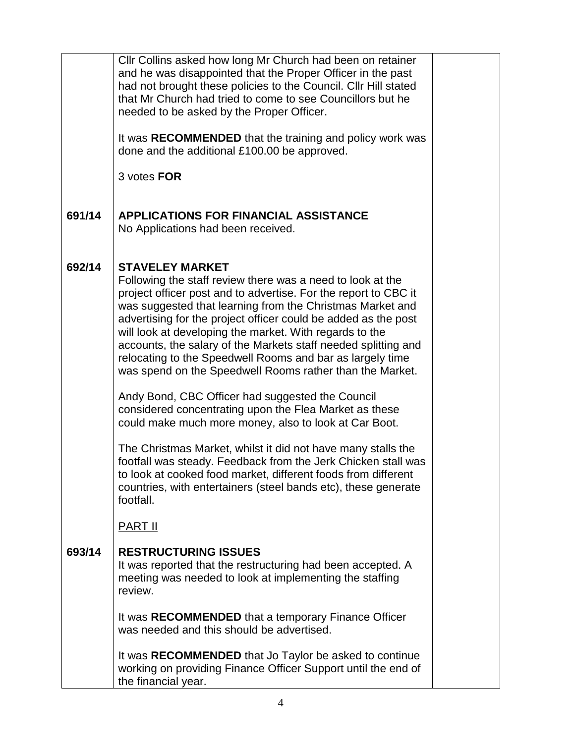|        | Cllr Collins asked how long Mr Church had been on retainer<br>and he was disappointed that the Proper Officer in the past<br>had not brought these policies to the Council. Cllr Hill stated<br>that Mr Church had tried to come to see Councillors but he<br>needed to be asked by the Proper Officer.                                                                                                                                                                                                                                      |  |
|--------|----------------------------------------------------------------------------------------------------------------------------------------------------------------------------------------------------------------------------------------------------------------------------------------------------------------------------------------------------------------------------------------------------------------------------------------------------------------------------------------------------------------------------------------------|--|
|        | It was RECOMMENDED that the training and policy work was<br>done and the additional £100.00 be approved.                                                                                                                                                                                                                                                                                                                                                                                                                                     |  |
|        | 3 votes FOR                                                                                                                                                                                                                                                                                                                                                                                                                                                                                                                                  |  |
| 691/14 | <b>APPLICATIONS FOR FINANCIAL ASSISTANCE</b><br>No Applications had been received.                                                                                                                                                                                                                                                                                                                                                                                                                                                           |  |
| 692/14 | <b>STAVELEY MARKET</b><br>Following the staff review there was a need to look at the<br>project officer post and to advertise. For the report to CBC it<br>was suggested that learning from the Christmas Market and<br>advertising for the project officer could be added as the post<br>will look at developing the market. With regards to the<br>accounts, the salary of the Markets staff needed splitting and<br>relocating to the Speedwell Rooms and bar as largely time<br>was spend on the Speedwell Rooms rather than the Market. |  |
|        | Andy Bond, CBC Officer had suggested the Council<br>considered concentrating upon the Flea Market as these<br>could make much more money, also to look at Car Boot.                                                                                                                                                                                                                                                                                                                                                                          |  |
|        | The Christmas Market, whilst it did not have many stalls the<br>footfall was steady. Feedback from the Jerk Chicken stall was<br>to look at cooked food market, different foods from different<br>countries, with entertainers (steel bands etc), these generate<br>footfall.                                                                                                                                                                                                                                                                |  |
|        | <b>PART II</b>                                                                                                                                                                                                                                                                                                                                                                                                                                                                                                                               |  |
| 693/14 | <b>RESTRUCTURING ISSUES</b><br>It was reported that the restructuring had been accepted. A<br>meeting was needed to look at implementing the staffing<br>review.                                                                                                                                                                                                                                                                                                                                                                             |  |
|        | It was RECOMMENDED that a temporary Finance Officer<br>was needed and this should be advertised.                                                                                                                                                                                                                                                                                                                                                                                                                                             |  |
|        | It was RECOMMENDED that Jo Taylor be asked to continue<br>working on providing Finance Officer Support until the end of<br>the financial year.                                                                                                                                                                                                                                                                                                                                                                                               |  |